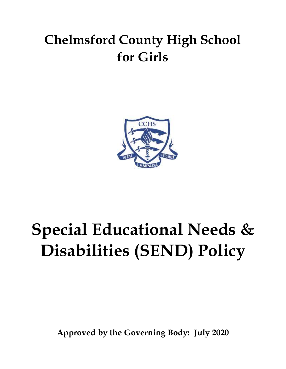# **Chelmsford County High School for Girls**



# **Special Educational Needs & Disabilities (SEND) Policy**

**Approved by the Governing Body: July 2020**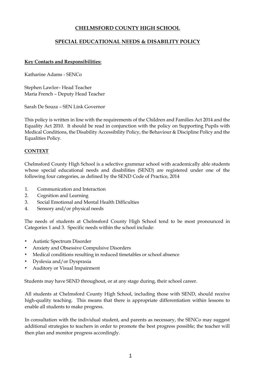### **CHELMSFORD COUNTY HIGH SCHOOL**

#### **SPECIAL EDUCATIONAL NEEDS & DISABILITY POLICY**

#### **Key Contacts and Responsibilities:**

Katharine Adams - SENCo

Stephen Lawlor– Head Teacher Maria French – Deputy Head Teacher

Sarah De Souza – SEN Link Governor

This policy is written in line with the requirements of the Children and Families Act 2014 and the Equality Act 2010. It should be read in conjunction with the policy on Supporting Pupils with Medical Conditions, the Disability Accessibility Policy, the Behaviour & Discipline Policy and the Equalities Policy.

#### **CONTEXT**

Chelmsford County High School is a selective grammar school with academically able students whose special educational needs and disabilities (SEND) are registered under one of the following four categories, as defined by the SEND Code of Practice, 2014

- 1. Communication and Interaction
- 2. Cognition and Learning
- 3. Social Emotional and Mental Health Difficulties
- 4. Sensory and/or physical needs

The needs of students at Chelmsford County High School tend to be most pronounced in Categories 1 and 3. Specific needs within the school include:

- Autistic Spectrum Disorder
- Anxiety and Obsessive Compulsive Disorders
- Medical conditions resulting in reduced timetables or school absence
- Dyslexia and/or Dyspraxia
- Auditory or Visual Impairment

Students may have SEND throughout, or at any stage during, their school career.

All students at Chelmsford County High School, including those with SEND, should receive high-quality teaching. This means that there is appropriate differentiation within lessons to enable all students to make progress.

In consultation with the individual student, and parents as necessary, the SENCo may suggest additional strategies to teachers in order to promote the best progress possible; the teacher will then plan and monitor progress accordingly.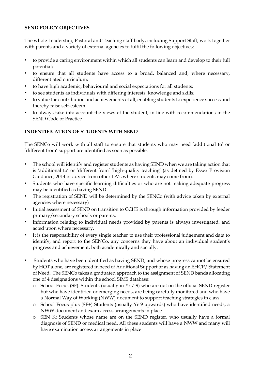#### **SEND POLICY OBJECTIVES**

The whole Leadership, Pastoral and Teaching staff body, including Support Staff, work together with parents and a variety of external agencies to fulfil the following objectives:

- to provide a caring environment within which all students can learn and develop to their full potential;
- to ensure that all students have access to a broad, balanced and, where necessary, differentiated curriculum;
- to have high academic, behavioural and social expectations for all students;
- to see students as individuals with differing interests, knowledge and skills;
- to value the contribution and achievements of all, enabling students to experience success and thereby raise self-esteem.
- to always take into account the views of the student, in line with recommendations in the SEND Code of Practice

#### **INDENTIFICATION OF STUDENTS WITH SEND**

The SENCo will work with all staff to ensure that students who may need 'additional to' or 'different from' support are identified as soon as possible.

- The school will identify and register students as having SEND when we are taking action that is 'additional to' or 'different from' 'high-quality teaching' (as defined by Essex Provision Guidance, 2014 or advice from other LA's where students may come from).
- Students who have specific learning difficulties or who are not making adequate progress may be identified as having SEND.
- The registration of SEND will be determined by the SENCo (with advice taken by external agencies where necessary)
- Initial assessment of SEND on transition to CCHS is through information provided by feeder primary/secondary schools or parents.
- Information relating to individual needs provided by parents is always investigated, and acted upon where necessary.
- It is the responsibility of every single teacher to use their professional judgement and data to identify, and report to the SENCo, any concerns they have about an individual student's progress and achievement, both academically and socially.
- Students who have been identified as having SEND, and whose progress cannot be ensured by HQT alone, are registered in need of Additional Support or as having an EHCP/ Statement of Need. The SENCo takes a graduated approach to the assignment of SEND bands allocating one of 4 designations within the school SIMS database:
	- o School Focus (SF): Students (usually in Yr 7-9) who are not on the official SEND register but who have identified or emerging needs, are being carefully monitored and who have a Normal Way of Working (NWW) document to support teaching strategies in class
	- o School Focus plus (SF+) Students (usually Yr 9 upwards) who have identified needs, a NWW document and exam access arrangements in place
	- o SEN K: Students whose name are on the SEND register, who usually have a formal diagnosis of SEND or medical need. All these students will have a NWW and many will have examination access arrangements in place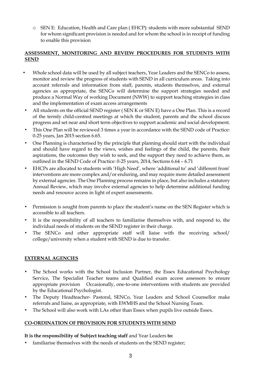o SEN E: Education, Health and Care plan ( EHCP): students with more substantial SEND for whom significant provision is needed and for whom the school is in receipt of funding to enable this provision

### **ASSESSMENT, MONITORING AND REVIEW PROCEDURES FOR STUDENTS WITH SEND**

- Whole school data will be used by all subject teachers, Year Leaders and the SENCo to assess, monitor and review the progress of students with SEND in all curriculum areas. Taking into account referrals and information from staff, parents, students themselves, and external agencies as appropriate, the SENCo will determine the support strategies needed and produce a Normal Way of working Document (NWW) to support teaching strategies in class and the implementation of exam access arrangements
- All students on the official SEND register ( SEN K or SEN E) have a One Plan. This is a record of the termly child-centred meetings at which the student, parents and the school discuss progress and set near and short term objectives to support academic and social development.
- This One Plan will be reviewed 3 times a year in accordance with the SEND code of Practice: 0-25 years, Jan 2015 section 6.65.
- One Planning is characterised by the principle that planning should start with the individual and should have regard to the views, wishes and feelings of the child, the parents, their aspirations, the outcomes they wish to seek, and the support they need to achieve them, as outlined in the SEND Code of Practice: 0-25 years, 2014, Sections 6.64 – 6.71
- EHCPs are allocated to students with 'High Need', where 'additional to' and 'different from' interventions are more complex and/or enduring, and may require more detailed assessment by external agencies. The One Planning process remains in place, but also includes a statutory Annual Review, which may involve external agencies to help determine additional funding needs and resource access in light of expert assessments.
- Permission is sought from parents to place the student's name on the SEN Register which is accessible to all teachers.
- It is the responsibility of all teachers to familiarise themselves with, and respond to, the individual needs of students on the SEND register in their charge.
- The SENCo and other appropriate staff will liaise with the receiving school/ college/university when a student with SEND is due to transfer.

# **EXTERNAL AGENCIES**

- The School works with the School Inclusion Partner, the Essex Educational Psychology Service, The Specialist Teacher teams and Qualified exam access assessors to ensure appropriate provision Occasionally, one-to-one interventions with students are provided by the Educational Psychologist.
- The Deputy Headteacher- Pastoral, SENCo, Year Leaders and School Counsellor make referrals and liaise, as appropriate, with EWMHS and the School Nursing Team.
- The School will also work with LAs other than Essex when pupils live outside Essex.

# **CO-ORDINATION OF PROVISION FOR STUDENTS WITH SEND**

#### **It is the responsibility of Subject teaching staff** and Year Leaders **to:**

familiarise themselves with the needs of students on the SEND register;